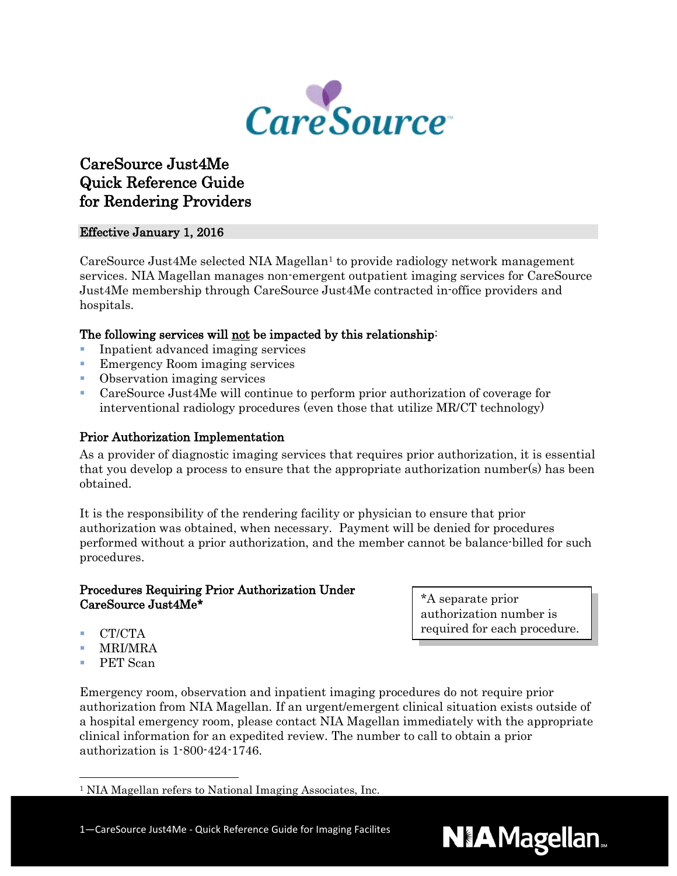

# CareSource Just4Me Quick Reference Guide for Rendering Providers

# Effective January 1, 2016

CareSource Just4Me selected NIA Magellan<sup>1</sup> to provide radiology network management services. NIA Magellan manages non-emergent outpatient imaging services for CareSource Just4Me membership through CareSource Just4Me contracted in-office providers and hospitals.

# The following services will not be impacted by this relationship:

- Inpatient advanced imaging services
- **Emergency Room imaging services**
- Observation imaging services
- CareSource Just4Me will continue to perform prior authorization of coverage for interventional radiology procedures (even those that utilize MR/CT technology)

# Prior Authorization Implementation

As a provider of diagnostic imaging services that requires prior authorization, it is essential that you develop a process to ensure that the appropriate authorization number(s) has been obtained.

It is the responsibility of the rendering facility or physician to ensure that prior authorization was obtained, when necessary. Payment will be denied for procedures performed without a prior authorization, and the member cannot be balance-billed for such procedures.

## Procedures Requiring Prior Authorization Under CareSource Just4Me\*

- CT/CTA
- **MRI/MRA**
- PET Scan

Emergency room, observation and inpatient imaging procedures do not require prior authorization from NIA Magellan. If an urgent/emergent clinical situation exists outside of a hospital emergency room, please contact NIA Magellan immediately with the appropriate clinical information for an expedited review. The number to call to obtain a prior authorization is 1-800-424-1746.

1—CareSource Just4Me - Quick Reference Guide for Imaging Facilites

\*A separate prior authorization number is required for each procedure.



<span id="page-0-0"></span> <sup>1</sup> NIA Magellan refers to National Imaging Associates, Inc.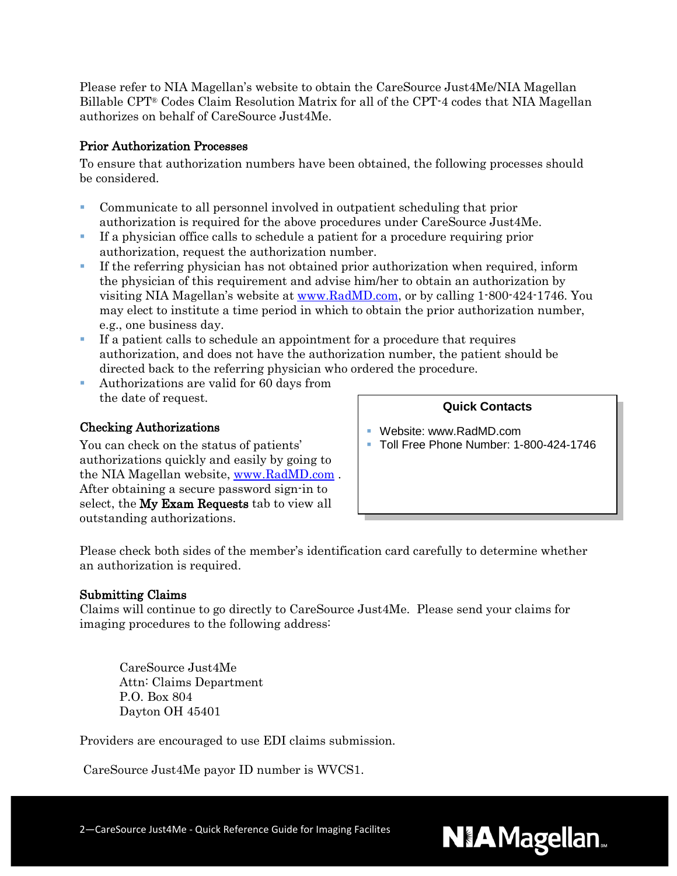Please refer to NIA Magellan's website to obtain the CareSource Just4Me/NIA Magellan Billable CPT® Codes Claim Resolution Matrix for all of the CPT-4 codes that NIA Magellan authorizes on behalf of CareSource Just4Me.

## Prior Authorization Processes

To ensure that authorization numbers have been obtained, the following processes should be considered.

- Communicate to all personnel involved in outpatient scheduling that prior authorization is required for the above procedures under CareSource Just4Me.
- If a physician office calls to schedule a patient for a procedure requiring prior authorization, request the authorization number.
- If the referring physician has not obtained prior authorization when required, inform the physician of this requirement and advise him/her to obtain an authorization by visiting NIA Magellan's website at [www.RadMD.com,](http://www.radmd.com/) or by calling 1-800-424-1746. You may elect to institute a time period in which to obtain the prior authorization number, e.g., one business day.
- If a patient calls to schedule an appointment for a procedure that requires authorization, and does not have the authorization number, the patient should be directed back to the referring physician who ordered the procedure.
- Authorizations are valid for 60 days from the date of request.

# Checking Authorizations

You can check on the status of patients' authorizations quickly and easily by going to the NIA Magellan website, [www.RadMD.com](http://www.radmd.com/) . After obtaining a secure password sign-in to select, the My Exam Requests tab to view all outstanding authorizations.

## **Quick Contacts**

- Website: www.RadMD.com
- Toll Free Phone Number: 1-800-424-1746

Please check both sides of the member's identification card carefully to determine whether an authorization is required.

## Submitting Claims

Claims will continue to go directly to CareSource Just4Me. Please send your claims for imaging procedures to the following address:

CareSource Just4Me Attn: Claims Department P.O. Box 804 Dayton OH 45401

Providers are encouraged to use EDI claims submission.

CareSource Just4Me payor ID number is WVCS1.

2—CareSource Just4Me - Quick Reference Guide for Imaging Facilites

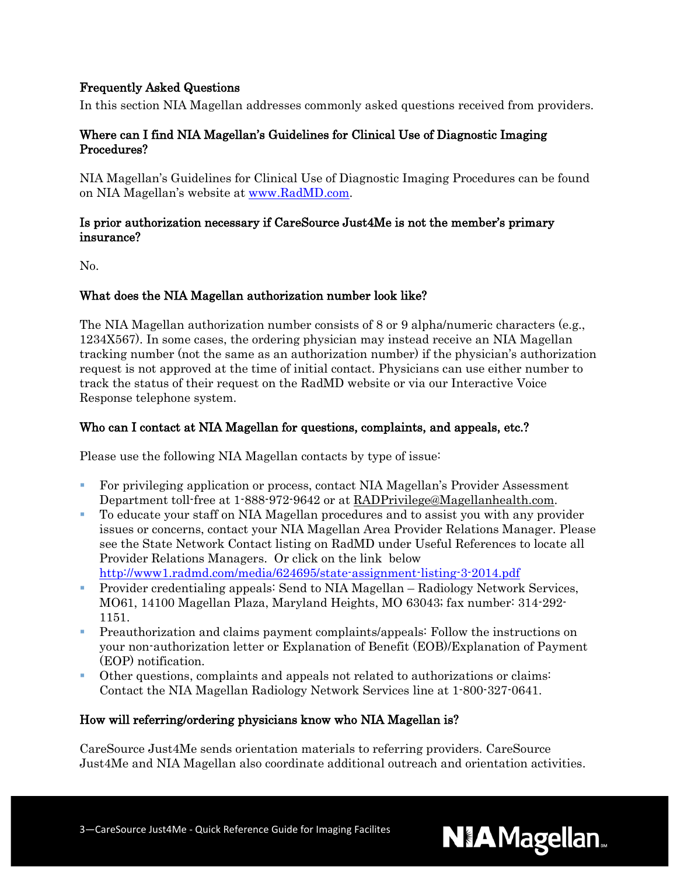# Frequently Asked Questions

In this section NIA Magellan addresses commonly asked questions received from providers.

# Where can I find NIA Magellan's Guidelines for Clinical Use of Diagnostic Imaging Procedures?

NIA Magellan's Guidelines for Clinical Use of Diagnostic Imaging Procedures can be found on NIA Magellan's website at [www.RadMD.com.](http://www.radmd.com/)

#### Is prior authorization necessary if CareSource Just4Me is not the member's primary insurance?

No.

## What does the NIA Magellan authorization number look like?

The NIA Magellan authorization number consists of 8 or 9 alpha/numeric characters (e.g., 1234X567). In some cases, the ordering physician may instead receive an NIA Magellan tracking number (not the same as an authorization number) if the physician's authorization request is not approved at the time of initial contact. Physicians can use either number to track the status of their request on the RadMD website or via our Interactive Voice Response telephone system.

## Who can I contact at NIA Magellan for questions, complaints, and appeals, etc.?

Please use the following NIA Magellan contacts by type of issue:

- For privileging application or process, contact NIA Magellan's Provider Assessment Department toll-free at 1-888-972-9642 or at [RADPrivilege@Magellanhealth.com.](mailto:RADPrivilege@Magellanhealth.com)
- To educate your staff on NIA Magellan procedures and to assist you with any provider issues or concerns, contact your NIA Magellan Area Provider Relations Manager. Please see the State Network Contact listing on RadMD under Useful References to locate all Provider Relations Managers. Or click on the link below <http://www1.radmd.com/media/624695/state-assignment-listing-3-2014.pdf>
- Provider credentialing appeals: Send to NIA Magellan Radiology Network Services, MO61, 14100 Magellan Plaza, Maryland Heights, MO 63043; fax number: 314-292- 1151.
- Preauthorization and claims payment complaints/appeals: Follow the instructions on your non-authorization letter or Explanation of Benefit (EOB)/Explanation of Payment (EOP) notification.
- Other questions, complaints and appeals not related to authorizations or claims: Contact the NIA Magellan Radiology Network Services line at 1-800-327-0641.

## How will referring/ordering physicians know who NIA Magellan is?

CareSource Just4Me sends orientation materials to referring providers. CareSource Just4Me and NIA Magellan also coordinate additional outreach and orientation activities.